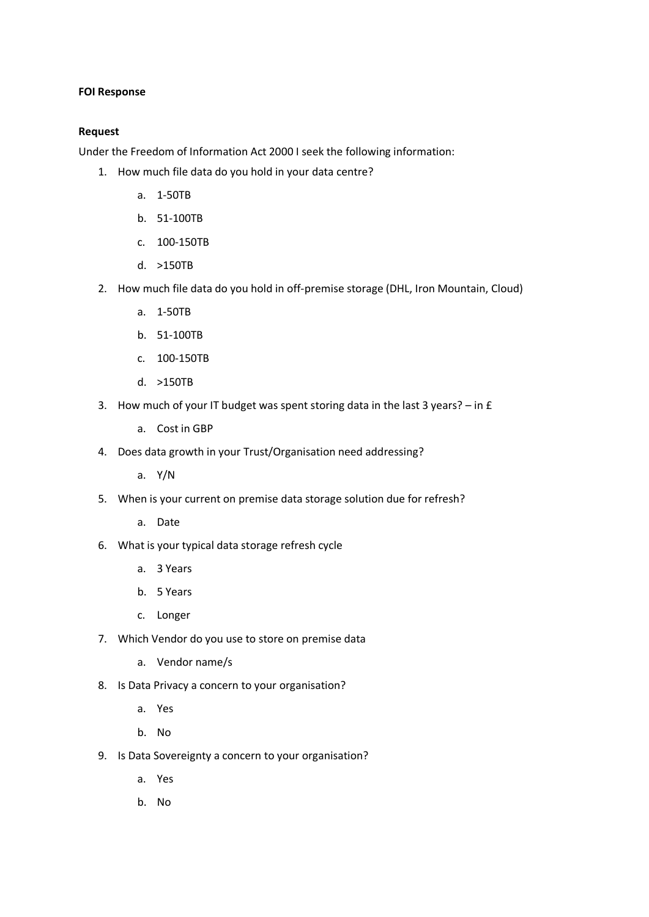## **FOI Response**

## **Request**

Under the Freedom of Information Act 2000 I seek the following information:

- 1. How much file data do you hold in your data centre?
	- a. 1-50TB
	- b. 51-100TB
	- c. 100-150TB
	- d. >150TB
- 2. How much file data do you hold in off-premise storage (DHL, Iron Mountain, Cloud)
	- a. 1-50TB
	- b. 51-100TB
	- c. 100-150TB
	- d. >150TB
- 3. How much of your IT budget was spent storing data in the last 3 years? in £
	- a. Cost in GBP
- 4. Does data growth in your Trust/Organisation need addressing?
	- a. Y/N
- 5. When is your current on premise data storage solution due for refresh?
	- a. Date
- 6. What is your typical data storage refresh cycle
	- a. 3 Years
	- b. 5 Years
	- c. Longer
- 7. Which Vendor do you use to store on premise data
	- a. Vendor name/s
- 8. Is Data Privacy a concern to your organisation?
	- a. Yes
	- b. No
- 9. Is Data Sovereignty a concern to your organisation?
	- a. Yes
	- b. No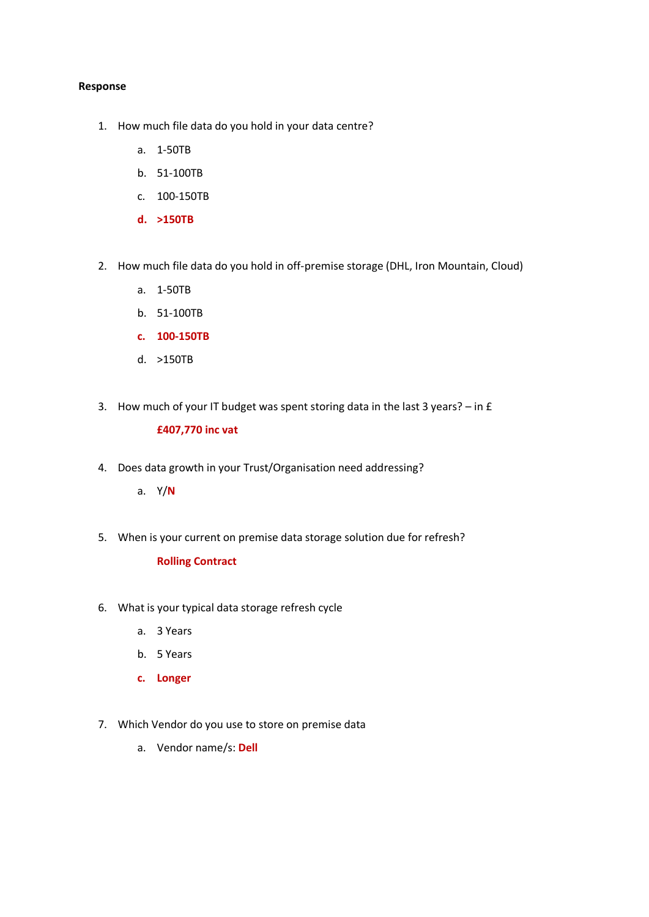## **Response**

- 1. How much file data do you hold in your data centre?
	- a. 1-50TB
	- b. 51-100TB
	- c. 100-150TB
	- **d. >150TB**
- 2. How much file data do you hold in off-premise storage (DHL, Iron Mountain, Cloud)
	- a. 1-50TB
	- b. 51-100TB
	- **c. 100-150TB**
	- d. >150TB
- 3. How much of your IT budget was spent storing data in the last 3 years? in £

#### **£407,770 inc vat**

- 4. Does data growth in your Trust/Organisation need addressing?
	- a. Y/**N**
- 5. When is your current on premise data storage solution due for refresh?

# **Rolling Contract**

- 6. What is your typical data storage refresh cycle
	- a. 3 Years
	- b. 5 Years
	- **c. Longer**
- 7. Which Vendor do you use to store on premise data
	- a. Vendor name/s: **Dell**